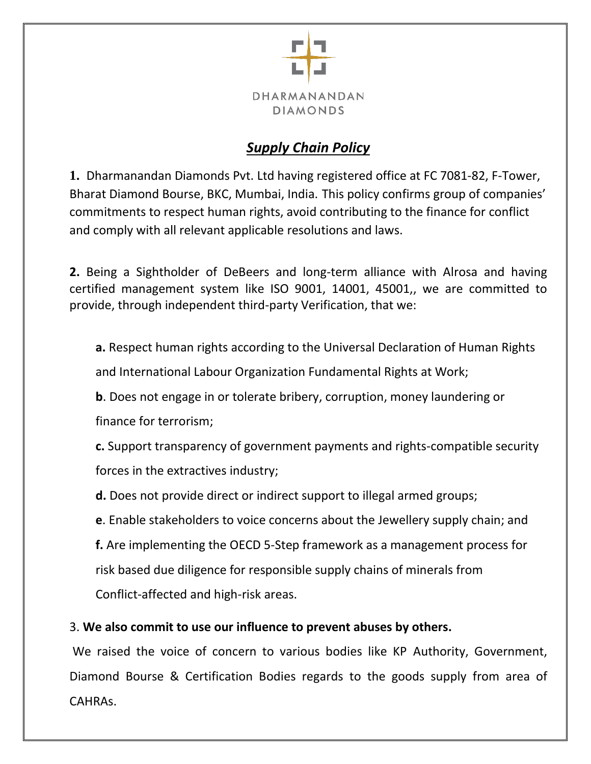

# *Supply Chain Policy*

**1.** Dharmanandan Diamonds Pvt. Ltd having registered office at FC 7081-82, F-Tower, Bharat Diamond Bourse, BKC, Mumbai, India. This policy confirms group of companies' commitments to respect human rights, avoid contributing to the finance for conflict and comply with all relevant applicable resolutions and laws.

**2.** Being a Sightholder of DeBeers and long-term alliance with Alrosa and having certified management system like ISO 9001, 14001, 45001,, we are committed to provide, through independent third-party Verification, that we:

**a.** Respect human rights according to the Universal Declaration of Human Rights and International Labour Organization Fundamental Rights at Work;

**b**. Does not engage in or tolerate bribery, corruption, money laundering or

finance for terrorism;

**c.** Support transparency of government payments and rights-compatible security forces in the extractives industry;

**d.** Does not provide direct or indirect support to illegal armed groups;

**e**. Enable stakeholders to voice concerns about the Jewellery supply chain; and

**f.** Are implementing the OECD 5-Step framework as a management process for risk based due diligence for responsible supply chains of minerals from Conflict-affected and high-risk areas.

# 3. **We also commit to use our influence to prevent abuses by others.**

We raised the voice of concern to various bodies like KP Authority, Government, Diamond Bourse & Certification Bodies regards to the goods supply from area of CAHRAs.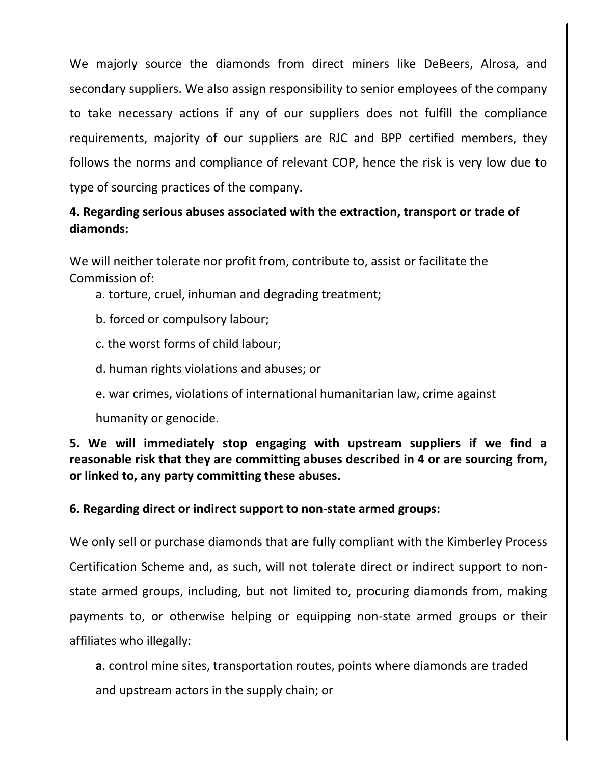We majorly source the diamonds from direct miners like DeBeers, Alrosa, and secondary suppliers. We also assign responsibility to senior employees of the company to take necessary actions if any of our suppliers does not fulfill the compliance requirements, majority of our suppliers are RJC and BPP certified members, they follows the norms and compliance of relevant COP, hence the risk is very low due to type of sourcing practices of the company.

# **4. Regarding serious abuses associated with the extraction, transport or trade of diamonds:**

We will neither tolerate nor profit from, contribute to, assist or facilitate the Commission of:

- a. torture, cruel, inhuman and degrading treatment;
- b. forced or compulsory labour;
- c. the worst forms of child labour;
- d. human rights violations and abuses; or
- e. war crimes, violations of international humanitarian law, crime against

humanity or genocide.

# **5. We will immediately stop engaging with upstream suppliers if we find a reasonable risk that they are committing abuses described in 4 or are sourcing from, or linked to, any party committing these abuses.**

## **6. Regarding direct or indirect support to non-state armed groups:**

We only sell or purchase diamonds that are fully compliant with the Kimberley Process Certification Scheme and, as such, will not tolerate direct or indirect support to nonstate armed groups, including, but not limited to, procuring diamonds from, making payments to, or otherwise helping or equipping non-state armed groups or their affiliates who illegally:

**a**. control mine sites, transportation routes, points where diamonds are traded and upstream actors in the supply chain; or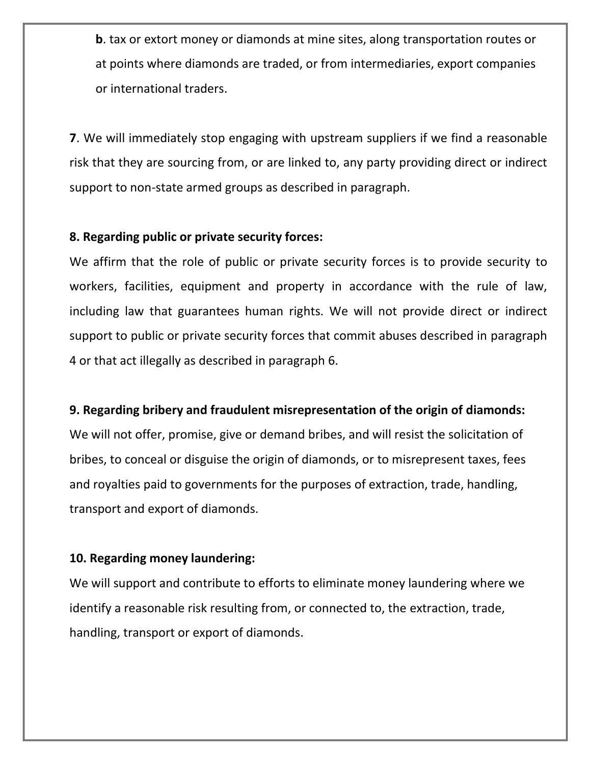**b**. tax or extort money or diamonds at mine sites, along transportation routes or at points where diamonds are traded, or from intermediaries, export companies or international traders.

**7**. We will immediately stop engaging with upstream suppliers if we find a reasonable risk that they are sourcing from, or are linked to, any party providing direct or indirect support to non-state armed groups as described in paragraph.

#### **8. Regarding public or private security forces:**

We affirm that the role of public or private security forces is to provide security to workers, facilities, equipment and property in accordance with the rule of law, including law that guarantees human rights. We will not provide direct or indirect support to public or private security forces that commit abuses described in paragraph 4 or that act illegally as described in paragraph 6.

## **9. Regarding bribery and fraudulent misrepresentation of the origin of diamonds:**

We will not offer, promise, give or demand bribes, and will resist the solicitation of bribes, to conceal or disguise the origin of diamonds, or to misrepresent taxes, fees and royalties paid to governments for the purposes of extraction, trade, handling, transport and export of diamonds.

## **10. Regarding money laundering:**

We will support and contribute to efforts to eliminate money laundering where we identify a reasonable risk resulting from, or connected to, the extraction, trade, handling, transport or export of diamonds.